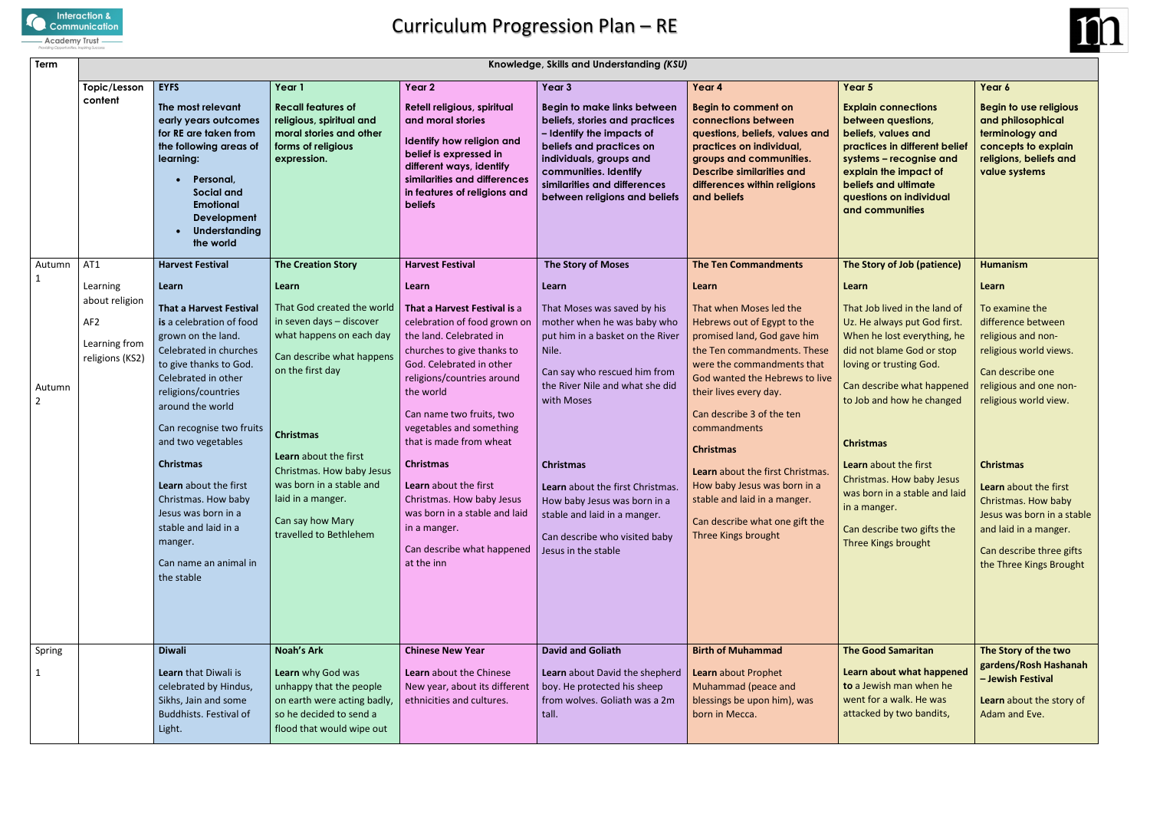

## Curriculum Progression Plan – RE

| Term                     | Knowledge, Skills and Understanding (KSU)                             |                                                                                                                                                                                                                                                                                                                                                                                                                               |                                                                                                                                                                                                                                                                                                              |                                                                                                                                                                                                                                                                                                                                                                                                                                                        |                                                                                                                                                                                                                                                                                                                                                                          |                                                                                                                                                                                                                                                                                                                                                                                                                                              |                                                                                                                                                                                                                                                                                                                                                                                                 |                                                                                                                                                                                                                                                                                                                                               |  |  |  |
|--------------------------|-----------------------------------------------------------------------|-------------------------------------------------------------------------------------------------------------------------------------------------------------------------------------------------------------------------------------------------------------------------------------------------------------------------------------------------------------------------------------------------------------------------------|--------------------------------------------------------------------------------------------------------------------------------------------------------------------------------------------------------------------------------------------------------------------------------------------------------------|--------------------------------------------------------------------------------------------------------------------------------------------------------------------------------------------------------------------------------------------------------------------------------------------------------------------------------------------------------------------------------------------------------------------------------------------------------|--------------------------------------------------------------------------------------------------------------------------------------------------------------------------------------------------------------------------------------------------------------------------------------------------------------------------------------------------------------------------|----------------------------------------------------------------------------------------------------------------------------------------------------------------------------------------------------------------------------------------------------------------------------------------------------------------------------------------------------------------------------------------------------------------------------------------------|-------------------------------------------------------------------------------------------------------------------------------------------------------------------------------------------------------------------------------------------------------------------------------------------------------------------------------------------------------------------------------------------------|-----------------------------------------------------------------------------------------------------------------------------------------------------------------------------------------------------------------------------------------------------------------------------------------------------------------------------------------------|--|--|--|
|                          | Topic/Lesson<br>content                                               | <b>EYFS</b><br>The most relevant<br>early years outcomes<br>for RE are taken from<br>the following areas of<br>learning:<br>Personal,<br>Social and<br><b>Emotional</b><br>Development<br>Understanding<br>the world                                                                                                                                                                                                          | Year 1<br><b>Recall features of</b><br>religious, spiritual and<br>moral stories and other<br>forms of religious<br>expression.                                                                                                                                                                              | Year 2<br>Retell religious, spiritual<br>and moral stories<br>Identify how religion and<br>belief is expressed in<br>different ways, identify<br>similarities and differences<br>in features of religions and<br><b>beliefs</b>                                                                                                                                                                                                                        | Year 3<br><b>Begin to make links between</b><br>beliefs, stories and practices<br>- Identify the impacts of<br>beliefs and practices on<br>individuals, groups and<br>communities. Identify<br>similarities and differences<br>between religions and beliefs                                                                                                             | Year 4<br><b>Begin to comment on</b><br>connections between<br>questions, beliefs, values and<br>practices on individual,<br>groups and communities.<br><b>Describe similarities and</b><br>differences within religions<br>and beliefs                                                                                                                                                                                                      | Year 5<br><b>Explain connections</b><br>between questions,<br>beliefs, values and<br>practices in different belief<br>systems - recognise and<br>explain the impact of<br>beliefs and ultimate<br>questions on individual<br>and communities                                                                                                                                                    | Year 6<br><b>Begin to use religious</b><br>and philosophical<br>terminology and<br>concepts to explain<br>religions, beliefs and<br>value systems                                                                                                                                                                                             |  |  |  |
| Autumn<br>$\mathbf{1}$   | AT1<br>Learning                                                       | <b>Harvest Festival</b><br>Learn                                                                                                                                                                                                                                                                                                                                                                                              | <b>The Creation Story</b><br>Learn                                                                                                                                                                                                                                                                           | <b>Harvest Festival</b><br>Learn                                                                                                                                                                                                                                                                                                                                                                                                                       | <b>The Story of Moses</b><br>Learn                                                                                                                                                                                                                                                                                                                                       | <b>The Ten Commandments</b><br>Learn                                                                                                                                                                                                                                                                                                                                                                                                         | The Story of Job (patience)<br>Learn                                                                                                                                                                                                                                                                                                                                                            | <b>Humanism</b><br>Learn                                                                                                                                                                                                                                                                                                                      |  |  |  |
| Autumn<br>$\overline{2}$ | about religion<br>AF <sub>2</sub><br>Learning from<br>religions (KS2) | <b>That a Harvest Festival</b><br>is a celebration of food<br>grown on the land.<br>Celebrated in churches<br>to give thanks to God.<br>Celebrated in other<br>religions/countries<br>around the world<br>Can recognise two fruits<br>and two vegetables<br><b>Christmas</b><br>Learn about the first<br>Christmas. How baby<br>Jesus was born in a<br>stable and laid in a<br>manger.<br>Can name an animal in<br>the stable | That God created the world<br>in seven days - discover<br>what happens on each day<br>Can describe what happens<br>on the first day<br><b>Christmas</b><br>Learn about the first<br>Christmas. How baby Jesus<br>was born in a stable and<br>laid in a manger.<br>Can say how Mary<br>travelled to Bethlehem | That a Harvest Festival is a<br>celebration of food grown on<br>the land. Celebrated in<br>churches to give thanks to<br>God. Celebrated in other<br>religions/countries around<br>the world<br>Can name two fruits, two<br>vegetables and something<br>that is made from wheat<br><b>Christmas</b><br>Learn about the first<br>Christmas. How baby Jesus<br>was born in a stable and laid<br>in a manger.<br>Can describe what happened<br>at the inn | That Moses was saved by his<br>mother when he was baby who<br>put him in a basket on the River<br>Nile.<br>Can say who rescued him from<br>the River Nile and what she did<br>with Moses<br><b>Christmas</b><br>Learn about the first Christmas.<br>How baby Jesus was born in a<br>stable and laid in a manger.<br>Can describe who visited baby<br>Jesus in the stable | That when Moses led the<br>Hebrews out of Egypt to the<br>promised land, God gave him<br>the Ten commandments. These<br>were the commandments that<br>God wanted the Hebrews to live<br>their lives every day.<br>Can describe 3 of the ten<br>commandments<br><b>Christmas</b><br>Learn about the first Christmas.<br>How baby Jesus was born in a<br>stable and laid in a manger.<br>Can describe what one gift the<br>Three Kings brought | That Job lived in the land of<br>Uz. He always put God first.<br>When he lost everything, he<br>did not blame God or stop<br>loving or trusting God.<br>Can describe what happened<br>to Job and how he changed<br><b>Christmas</b><br>Learn about the first<br>Christmas. How baby Jesus<br>was born in a stable and laid<br>in a manger.<br>Can describe two gifts the<br>Three Kings brought | To examine the<br>difference between<br>religious and non-<br>religious world views.<br>Can describe one<br>religious and one non-<br>religious world view.<br><b>Christmas</b><br>Learn about the first<br>Christmas. How baby<br>Jesus was born in a stable<br>and laid in a manger.<br>Can describe three gifts<br>the Three Kings Brought |  |  |  |
| Spring<br>$\mathbf{1}$   |                                                                       | <b>Diwali</b><br>Learn that Diwali is<br>celebrated by Hindus,<br>Sikhs, Jain and some<br><b>Buddhists. Festival of</b><br>Light.                                                                                                                                                                                                                                                                                             | <b>Noah's Ark</b><br>Learn why God was<br>unhappy that the people<br>on earth were acting badly,<br>so he decided to send a<br>flood that would wipe out                                                                                                                                                     | <b>Chinese New Year</b><br>Learn about the Chinese<br>New year, about its different<br>ethnicities and cultures.                                                                                                                                                                                                                                                                                                                                       | <b>David and Goliath</b><br>Learn about David the shepherd<br>boy. He protected his sheep<br>from wolves. Goliath was a 2m<br>tall.                                                                                                                                                                                                                                      | <b>Birth of Muhammad</b><br>Learn about Prophet<br>Muhammad (peace and<br>blessings be upon him), was<br>born in Mecca.                                                                                                                                                                                                                                                                                                                      | <b>The Good Samaritan</b><br>Learn about what happened<br>to a Jewish man when he<br>went for a walk. He was<br>attacked by two bandits,                                                                                                                                                                                                                                                        | The Story of the two<br>gardens/Rosh Hashanah<br>- Jewish Festival<br>Learn about the story of<br>Adam and Eve.                                                                                                                                                                                                                               |  |  |  |

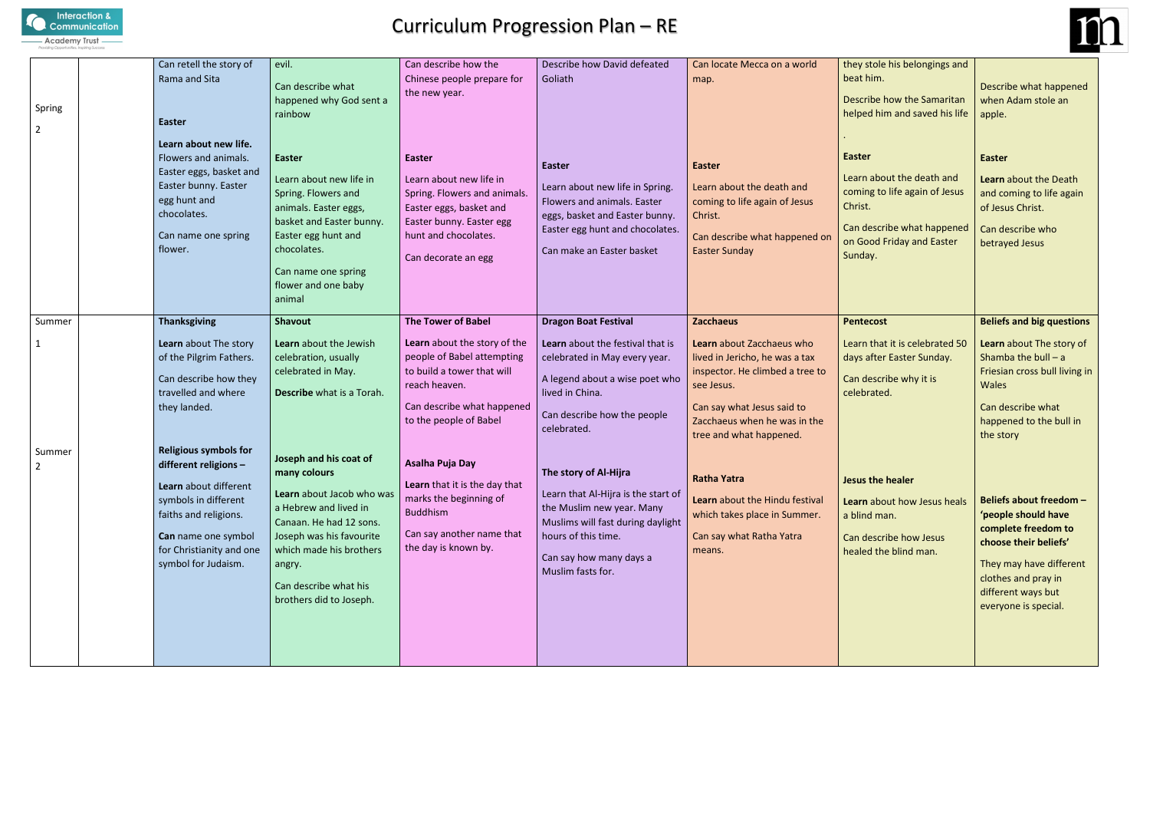

## Curriculum Progression Plan – RE

| Spring<br>2 | Can retell the story of<br>Rama and Sita<br>Easter<br>Learn about new life.<br>Flowers and animals.<br>Easter eggs, basket and<br>Easter bunny. Easter<br>egg hunt and<br>chocolates.<br>Can name one spring<br>flower. | evil.<br>Can describe what<br>happened why God sent a<br>rainbow<br><b>Easter</b><br>Learn about new life in<br>Spring. Flowers and<br>animals. Easter eggs,<br>basket and Easter bunny.<br>Easter egg hunt and<br>chocolates.               | Can describe how the<br>Chinese people prepare for<br>the new year.<br>Easter<br>Learn about new life in<br>Spring. Flowers and animals.<br>Easter eggs, basket and<br>Easter bunny. Easter egg<br>hunt and chocolates.<br>Can decorate an egg | Describe how David defeated<br>Goliath<br><b>Easter</b><br>Learn about new life in Spring.<br>Flowers and animals. Easter<br>eggs, basket and Easter bunny.<br>Easter egg hunt and chocolates.<br>Can make an Easter basket | Can locate Mecca on a world<br>map.<br><b>Easter</b><br>Learn about the death and<br>coming to life again of Jesus<br>Christ.<br>Can describe what happened on<br><b>Easter Sunday</b>                                    | they stole his belongings and<br>beat him.<br>Describe how the Samaritan<br>helped him and saved his life<br><b>Easter</b><br>Learn about the death and<br>coming to life again of Jesus<br>Christ.<br>Can describe what happened<br>on Good Friday and Easter<br>Sunday. | Describe what happened<br>when Adam stole an<br>apple.<br><b>Easter</b><br>Learn about the Death<br>and coming to life again<br>of Jesus Christ.<br>Can describe who<br>betrayed Jesus              |
|-------------|-------------------------------------------------------------------------------------------------------------------------------------------------------------------------------------------------------------------------|----------------------------------------------------------------------------------------------------------------------------------------------------------------------------------------------------------------------------------------------|------------------------------------------------------------------------------------------------------------------------------------------------------------------------------------------------------------------------------------------------|-----------------------------------------------------------------------------------------------------------------------------------------------------------------------------------------------------------------------------|---------------------------------------------------------------------------------------------------------------------------------------------------------------------------------------------------------------------------|---------------------------------------------------------------------------------------------------------------------------------------------------------------------------------------------------------------------------------------------------------------------------|-----------------------------------------------------------------------------------------------------------------------------------------------------------------------------------------------------|
| Summer      | <b>Thanksgiving</b><br>Learn about The story<br>of the Pilgrim Fathers.<br>Can describe how they<br>travelled and where<br>they landed.                                                                                 | Can name one spring<br>flower and one baby<br>animal<br>Shavout<br>Learn about the Jewish<br>celebration, usually<br>celebrated in May.<br>Describe what is a Torah.                                                                         | <b>The Tower of Babel</b><br>Learn about the story of the<br>people of Babel attempting<br>to build a tower that will<br>reach heaven.<br>Can describe what happened<br>to the people of Babel                                                 | <b>Dragon Boat Festival</b><br>Learn about the festival that is<br>celebrated in May every year.<br>A legend about a wise poet who<br>lived in China.<br>Can describe how the people<br>celebrated.                         | <b>Zacchaeus</b><br>Learn about Zacchaeus who<br>lived in Jericho, he was a tax<br>inspector. He climbed a tree to<br>see Jesus.<br>Can say what Jesus said to<br>Zacchaeus when he was in the<br>tree and what happened. | <b>Pentecost</b><br>Learn that it is celebrated 50<br>days after Easter Sunday.<br>Can describe why it is<br>celebrated.                                                                                                                                                  | <b>Beliefs and big questions</b><br>Learn about The story of<br>Shamba the bull $- a$<br>Friesian cross bull living in<br><b>Wales</b><br>Can describe what<br>happened to the bull in<br>the story |
| Summer      | <b>Religious symbols for</b><br>different religions -<br>Learn about different<br>symbols in different<br>faiths and religions.<br>Can name one symbol<br>for Christianity and one<br>symbol for Judaism.               | Joseph and his coat of<br>many colours<br>Learn about Jacob who was<br>a Hebrew and lived in<br>Canaan. He had 12 sons.<br>Joseph was his favourite<br>which made his brothers<br>angry.<br>Can describe what his<br>brothers did to Joseph. | Asalha Puja Day<br>Learn that it is the day that<br>marks the beginning of<br><b>Buddhism</b><br>Can say another name that<br>the day is known by.                                                                                             | The story of Al-Hijra<br>Learn that Al-Hijra is the start of<br>the Muslim new year. Many<br>Muslims will fast during daylight<br>hours of this time.<br>Can say how many days a<br>Muslim fasts for.                       | <b>Ratha Yatra</b><br>Learn about the Hindu festival<br>which takes place in Summer.<br>Can say what Ratha Yatra<br>means.                                                                                                | Jesus the healer<br>Learn about how Jesus heals<br>a blind man.<br>Can describe how Jesus<br>healed the blind man.                                                                                                                                                        | Beliefs about freedom -<br>'people should have<br>complete freedom to<br>choose their beliefs'<br>They may have different<br>clothes and pray in<br>different ways but<br>everyone is special.      |